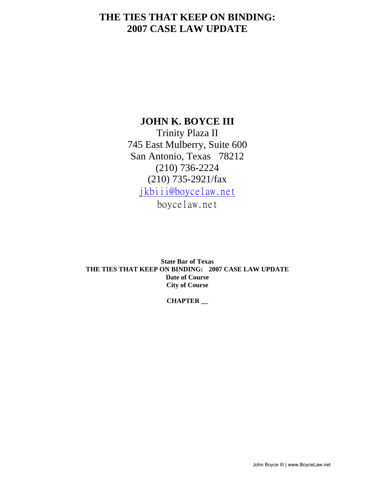## **THE TIES THAT KEEP ON BINDING: 2007 CASE LAW UPDATE**

## **JOHN K. BOYCE III**

Trinity Plaza II 745 East Mulberry, Suite 600 San Antonio, Texas 78212 (210) 736-2224 (210) 735-2921/fax jkbiii@boycelaw.net

boycelaw.net

**State Bar of Texas THE TIES THAT KEEP ON BINDING: 2007 CASE LAW UPDATE Date of Course City of Course** 

#### **CHAPTER \_\_**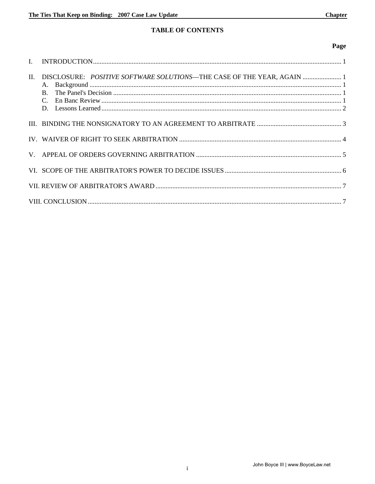## **TABLE OF CONTENTS**

#### Page

| II. | DISCLOSURE: POSITIVE SOFTWARE SOLUTIONS-THE CASE OF THE YEAR, AGAIN  1 |  |
|-----|------------------------------------------------------------------------|--|
|     |                                                                        |  |
|     |                                                                        |  |
|     |                                                                        |  |
|     |                                                                        |  |
|     |                                                                        |  |
|     |                                                                        |  |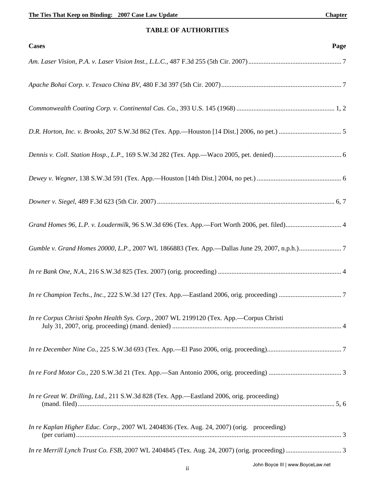#### **TABLE OF AUTHORITIES**

| <b>Cases</b><br>Page                                                                        |
|---------------------------------------------------------------------------------------------|
|                                                                                             |
|                                                                                             |
|                                                                                             |
|                                                                                             |
|                                                                                             |
|                                                                                             |
|                                                                                             |
| Grand Homes 96, L.P. v. Loudermilk, 96 S.W.3d 696 (Tex. App.-Fort Worth 2006, pet. filed) 4 |
|                                                                                             |
|                                                                                             |
|                                                                                             |
| In re Corpus Christi Spohn Health Sys. Corp., 2007 WL 2199120 (Tex. App.—Corpus Christi     |
|                                                                                             |
|                                                                                             |
| In re Great W. Drilling, Ltd., 211 S.W.3d 828 (Tex. App.—Eastland 2006, orig. proceeding)   |
| In re Kaplan Higher Educ. Corp., 2007 WL 2404836 (Tex. Aug. 24, 2007) (orig. proceeding)    |
| John Boyce III   www.BoyceLaw.net                                                           |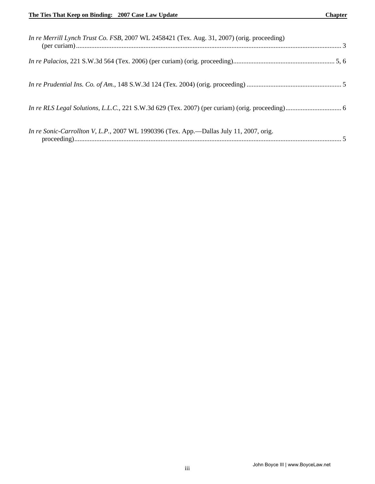| In re Merrill Lynch Trust Co. FSB, 2007 WL 2458421 (Tex. Aug. 31, 2007) (orig. proceeding) |  |
|--------------------------------------------------------------------------------------------|--|
|                                                                                            |  |
|                                                                                            |  |
|                                                                                            |  |
| In re Sonic-Carrollton V, L.P., 2007 WL 1990396 (Tex. App.—Dallas July 11, 2007, orig.     |  |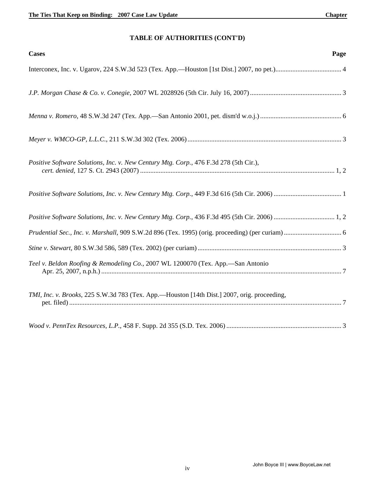## **TABLE OF AUTHORITIES (CONT'D)**

| <b>Cases</b>                                                                                | Page |
|---------------------------------------------------------------------------------------------|------|
|                                                                                             |      |
|                                                                                             |      |
|                                                                                             |      |
|                                                                                             |      |
| Positive Software Solutions, Inc. v. New Century Mtg. Corp., 476 F.3d 278 (5th Cir.),       |      |
|                                                                                             |      |
|                                                                                             |      |
|                                                                                             |      |
|                                                                                             |      |
| Teel v. Beldon Roofing & Remodeling Co., 2007 WL 1200070 (Tex. App.-San Antonio             |      |
| TMI, Inc. v. Brooks, 225 S.W.3d 783 (Tex. App.—Houston [14th Dist.] 2007, orig. proceeding, |      |
|                                                                                             |      |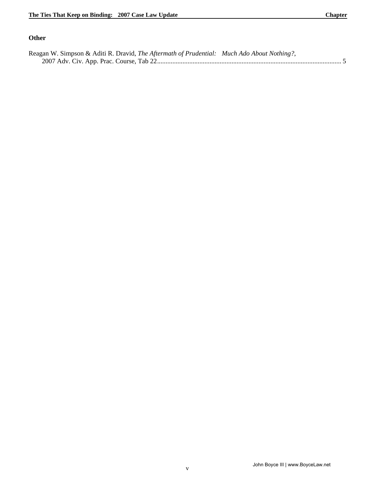#### **Other**

| Reagan W. Simpson & Aditi R. Dravid, The Aftermath of Prudential: Much Ado About Nothing?, |  |
|--------------------------------------------------------------------------------------------|--|
|                                                                                            |  |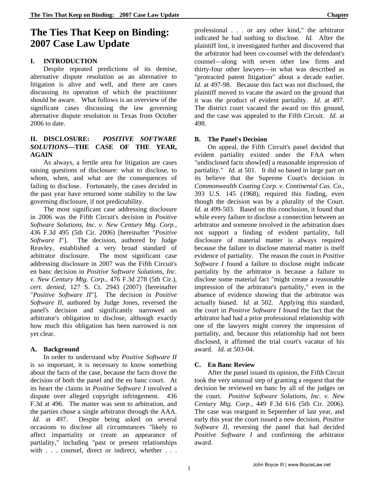# **The Ties That Keep on Binding: 2007 Case Law Update**

#### **I. INTRODUCTION**

Despite repeated predictions of its demise, alternative dispute resolution as an alternative to litigation is alive and well, and there are cases discussing its operation of which the practitioner should be aware. What follows is an overview of the significant cases discussing the law governing alternative dispute resolution in Texas from October 2006 to date.

#### **II. DISCLOSURE:** *POSITIVE SOFTWARE SOLUTIONS***—THE CASE OF THE YEAR, AGAIN**

 As always, a fertile area for litigation are cases raising questions of disclosure: what to disclose, to whom, when, and what are the consequences of failing to disclose. Fortunately, the cases decided in the past year have returned some stability to the law governing disclosure, if not predictability.

The most significant case addressing disclosure in 2006 was the Fifth Circuit's decision in *Positive Software Solutions, Inc. v. New Century Mtg. Corp.*, 436 F.3d 495 (5th Cir. 2006) [hereinafter "*Positive Software I*"]. The decision, authored by Judge Reavley, established a very broad standard of arbitrator disclosure. The most significant case addressing disclosure in 2007 was the Fifth Circuit's en banc decision in *Positive Software Solutions, Inc. v. New Century Mtg. Corp.*, 476 F.3d 278 (5th Cir.), *cert. denied*, 127 S. Ct. 2943 (2007) [hereinafter "*Positive Software II*"]. The decision in *Positive Software II*, authored by Judge Jones, reversed the panel's decision and significantly narrowed an arbitrator's obligation to disclose, although exactly how much this obligation has been narrowed is not yet clear.

#### **A. Background**

In order to understand why *Positive Software II*  is so important, it is necessary to know something about the facts of the case, because the facts drove the decision of both the panel and the en banc court. At its heart the claims in *Positive Software I* involved a dispute over alleged copyright infringement. 436 F.3d at 496. The matter was sent to arbitration, and the parties chose a single arbitrator through the AAA. *Id.* at 497. Despite being asked on several occasions to disclose all circumstances "likely to affect impartiality or create an appearance of partiality," including "past or present relationships with . . . counsel, direct or indirect, whether . . .

professional . . . or any other kind," the arbitrator indicated he had nothing to disclose. *Id.* After the plaintiff lost, it investigated further and discovered that the arbitrator had been co-counsel with the defendant's counsel—along with seven other law firms and thirty-four other lawyers—in what was described as "protracted patent litigation" about a decade earlier. *Id.* at 497-98. Because this fact was not disclosed, the plaintiff moved to vacate the award on the ground that it was the product of evident partiality. *Id.* at 497. The district court vacated the award on this ground, and the case was appealed to the Fifth Circuit. *Id.* at 498.

### **B. The Panel's Decision**

On appeal, the Fifth Circuit's panel decided that evident partiality existed under the FAA when "undisclosed facts show[ed] a reasonable impression of partiality." *Id.* at 501. It did so based in large part on its believe that the Supreme Court's decision in *Commonwealth Coating Corp. v. Continental Cas. Co.*, 393 U.S. 145 (1968), required this finding, even though the decision was by a plurality of the Court. *Id.* at 499-503. Based on this conclusion, it found that while every failure to disclose a connection between an arbitrator and someone involved in the arbitration does not support a finding of evident partiality, full disclosure of material matter is always required because the failure to disclose material matter is itself evidence of partiality. The reason the court in *Positive Software I* found a failure to disclose might indicate partiality by the arbitrator is because a failure to disclose some material fact "might create a reasonable impression of the arbitrator's partiality," even in the absence of evidence showing that the arbitrator was actually biased. *Id.* at 502. Applying this standard, the court in *Positive Software I* found the fact that the arbitrator had had a prior professional relationship with one of the lawyers might convey the impression of partiality, and, because this relationship had not been disclosed, it affirmed the trial court's vacatur of his award. *Id.* at 503-04.

### **C. En Banc Review**

After the panel issued its opinion, the Fifth Circuit took the very unusual step of granting a request that the decision be reviewed en banc by all of the judges on the court. *Positive Software Solutions, Inc. v. New Century Mtg. Corp.*, 449 F.3d 616 (5th Cir. 2006). The case was reargued in September of last year, and early this year the court issued a new decision, *Positive Software II*, reversing the panel that had decided *Positive Software I* and confirming the arbitrator award.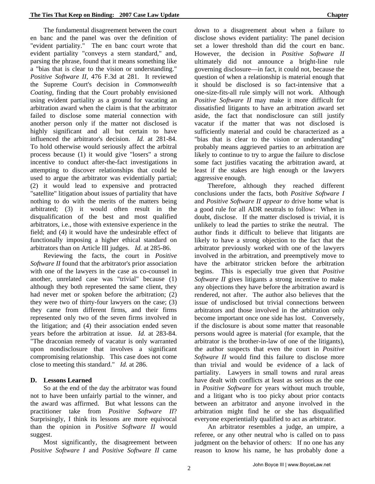The fundamental disagreement between the court en banc and the panel was over the definition of "evident partiality." The en banc court wrote that evident partiality "conveys a stern standard," and, parsing the phrase, found that it means something like a "bias that is clear to the vision or understanding." *Positive Software II*, 476 F.3d at 281. It reviewed the Supreme Court's decision in *Commonwealth Coating*, finding that the Court probably envisioned using evident partiality as a ground for vacating an arbitration award when the claim is that the arbitrator failed to disclose some material connection with another person only if the matter not disclosed is highly significant and all but certain to have influenced the arbitrator's decision. *Id.* at 281-84. To hold otherwise would seriously affect the arbitral process because (1) it would give "losers" a strong incentive to conduct after-the-fact investigations in attempting to discover relationships that could be used to argue the arbitrator was evidentially partial; (2) it would lead to expensive and protracted "satellite" litigation about issues of partiality that have nothing to do with the merits of the matters being arbitrated; (3) it would often result in the disqualification of the best and most qualified arbitrators, i.e., those with extensive experience in the field; and (4) it would have the undesirable effect of functionally imposing a higher ethical standard on arbitrators than on Article III judges. *Id.* at 285-86.

Reviewing the facts, the court in *Positive Software II* found that the arbitrator's prior association with one of the lawyers in the case as co-counsel in another, unrelated case was "trivial" because (1) although they both represented the same client, they had never met or spoken before the arbitration; (2) they were two of thirty-four lawyers on the case; (3) they came from different firms, and their firms represented only two of the seven firms involved in the litigation; and (4) their association ended seven years before the arbitration at issue. *Id.* at 283-84. "The draconian remedy of vacatur is only warranted upon nondisclosure that involves a significant compromising relationship. This case does not come close to meeting this standard." *Id.* at 286.

#### **D. Lessons Learned**

So at the end of the day the arbitrator was found not to have been unfairly partial to the winner, and the award was affirmed. But what lessons can the practitioner take from *Positive Software II*? Surprisingly, I think its lessons are more equivocal than the opinion in *Positive Software II* would suggest.

Most significantly, the disagreement between *Positive Software I* and *Positive Software II* came down to a disagreement about when a failure to disclose shows evident partiality: The panel decision set a lower threshold than did the court en banc. However, the decision in *Positive Software II*  ultimately did not announce a bright-line rule governing disclosure—in fact, it could not, because the question of when a relationship is material enough that it should be disclosed is so fact-intensive that a one-size-fits-all rule simply will not work. Although *Positive Software II* may make it more difficult for dissatisfied litigants to have an arbitration award set aside, the fact that nondisclosure can still justify vacatur if the matter that was not disclosed is sufficiently material and could be characterized as a "bias that is clear to the vision or understanding" probably means aggrieved parties to an arbitration are likely to continue to try to argue the failure to disclose some fact justifies vacating the arbitration award, at least if the stakes are high enough or the lawyers aggressive enough.

Therefore, although they reached different conclusions under the facts, both *Positive Software I*  and *Positive Software II appear to* drive home what is a good rule for all ADR neutrals to follow: When in doubt, disclose. If the matter disclosed is trivial, it is unlikely to lead the parties to strike the neutral. The author finds it difficult to believe that litigants are likely to have a strong objection to the fact that the arbitrator previously worked with one of the lawyers involved in the arbitration, and preemptively move to have the arbitrator stricken before the arbitration begins. This is especially true given that *Positive Software II* gives litigants a strong incentive to make any objections they have before the arbitration award is rendered, not after. The author also believes that the issue of undisclosed but trivial connections between arbitrators and those involved in the arbitration only become important once one side has lost. Conversely, if the disclosure is about some matter that reasonable persons would agree is material (for example, that the arbitrator is the brother-in-law of one of the litigants), the author suspects that even the court in *Positive Software II* would find this failure to disclose more than trivial and would be evidence of a lack of partiality. Lawyers in small towns and rural areas have dealt with conflicts at least as serious as the one in *Positive Software* for years without much trouble, and a litigant who is too picky about prior contacts between an arbitrator and anyone involved in the arbitration might find he or she has disqualified everyone experientially qualified to act as arbitrator.

An arbitrator resembles a judge, an umpire, a referee, or any other neutral who is called on to pass judgment on the behavior of others: If no one has any reason to know his name, he has probably done a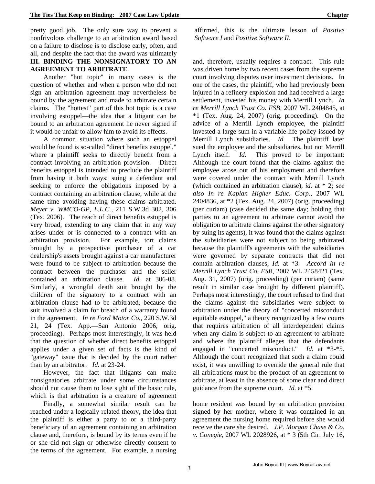pretty good job. The only sure way to prevent a nonfrivolous challenge to an arbitration award based on a failure to disclose is to disclose early, often, and all, and despite the fact that the award was ultimately **III. BINDING THE NONSIGNATORY TO AN AGREEMENT TO ARBITRATE**

Another "hot topic" in many cases is the question of whether and when a person who did not sign an arbitration agreement may nevertheless be bound by the agreement and made to arbitrate certain claims. The "hottest" part of this hot topic is a case involving estoppel—the idea that a litigant can be bound to an arbitration agreement he never signed if it would be unfair to allow him to avoid its effects.

A common situation where such an estoppel would be found is so-called "direct benefits estoppel," where a plaintiff seeks to directly benefit from a contract involving an arbitration provision. Direct benefits estoppel is intended to preclude the plaintiff from having it both ways: suing a defendant and seeking to enforce the obligations imposed by a contract containing an arbitration clause, while at the same time avoiding having these claims arbitrated. *Meyer v. WMCO-GP, L.L.C.*, 211 S.W.3d 302, 306 (Tex. 2006). The reach of direct benefits estoppel is very broad, extending to any claim that in any way arises under or is connected to a contract with an arbitration provision. For example, tort claims brought by a prospective purchaser of a car dealership's assets brought against a car manufacturer were found to be subject to arbitration because the contract between the purchaser and the seller contained an arbitration clause. *Id.* at 306-08. Similarly, a wrongful death suit brought by the children of the signatory to a contract with an arbitration clause had to be arbitrated, because the suit involved a claim for breach of a warranty found in the agreement. *In re Ford Motor Co.*, 220 S.W.3d 21, 24 (Tex. App.—San Antonio 2006, orig. proceeding). Perhaps most interestingly, it was held that the question of whether direct benefits estoppel applies under a given set of facts is the kind of "gateway" issue that is decided by the court rather than by an arbitrator. *Id.* at 23-24.

However, the fact that litigants can make nonsignatories arbitrate under some circumstances should not cause them to lose sight of the basic rule, which is that arbitration is a creature of agreement

Finally, a somewhat similar result can be reached under a logically related theory, the idea that the plaintiff is either a party to or a third-party beneficiary of an agreement containing an arbitration clause and, therefore, is bound by its terms even if he or she did not sign or otherwise directly consent to the terms of the agreement. For example, a nursing affirmed, this is the ultimate lesson of *Positive Software I* and *Positive Software II*.

and, therefore, usually requires a contract. This rule was driven home by two recent cases from the supreme court involving disputes over investment decisions. In one of the cases, the plaintiff, who had previously been injured in a refinery explosion and had received a large settlement, invested his money with Merrill Lynch. *In re Merrill Lynch Trust Co. FSB*, 2007 WL 2404845, at \*1 (Tex. Aug. 24, 2007) (orig. proceeding). On the advice of a Merrill Lynch employee, the plaintiff invested a large sum in a variable life policy issued by Merrill Lynch subsidiaries. *Id.* The plaintiff later sued the employee and the subsidiaries, but not Merrill Lynch itself. *Id.* This proved to be important: Although the court found that the claims against the employee arose out of his employment and therefore were covered under the contract with Merrill Lynch (which contained an arbitration clause), *id.* at \* 2; *see also In re Kaplan Higher Educ. Corp*., 2007 WL 2404836, at \*2 (Tex. Aug. 24, 2007) (orig. proceeding) (per curiam) (case decided the same day; holding that parties to an agreement to arbitrate cannot avoid the obligation to arbitrate claims against the other signatory by suing its agents), it was found that the claims against the subsidiaries were not subject to being arbitrated because the plaintiff's agreements with the subsidiaries were governed by separate contracts that did not contain arbitration clauses, *Id.* at \*3. *Accord In re Merrill Lynch Trust Co. FSB*, 2007 WL 2458421 (Tex. Aug. 31, 2007) (orig. proceeding) (per curiam) (same result in similar case brought by different plaintiff). Perhaps most interestingly, the court refused to find that the claims against the subsidiaries were subject to arbitration under the theory of "concerted misconduct equitable estoppel," a theory recognized by a few courts that requires arbitration of all interdependent claims when any claim is subject to an agreement to arbitrate and where the plaintiff alleges that the defendants engaged in "concerted misconduct." *Id.* at \*3-\*5. Although the court recognized that such a claim could exist, it was unwilling to override the general rule that all arbitrations must be the product of an agreement to arbitrate, at least in the absence of some clear and direct guidance from the supreme court. *Id.* at \*5.

home resident was bound by an arbitration provision signed by her mother, where it was contained in an agreement the nursing home required before she would receive the care she desired. *J.P. Morgan Chase & Co. v. Conegie*, 2007 WL 2028926, at \* 3 (5th Cir. July 16,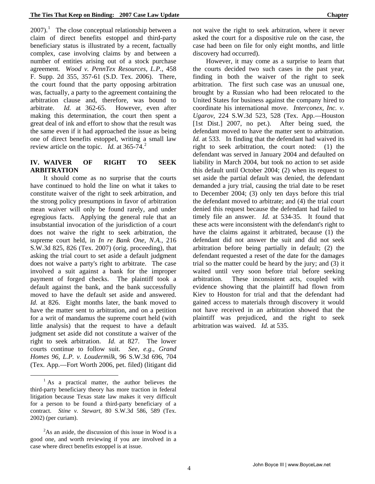$2007$ ).<sup>[1](#page-9-0)</sup> The close conceptual relationship between a claim of direct benefits estoppel and third-party beneficiary status is illustrated by a recent, factually complex, case involving claims by and between a number of entities arising out of a stock purchase agreement. *Wood v. PennTex Resources, L.P.*, 458 F. Supp. 2d 355, 357-61 (S.D. Tex. 2006). There, the court found that the party opposing arbitration was, factually, a party to the agreement containing the arbitration clause and, therefore, was bound to arbitrate. *Id.* at 362-65. However, even after making this determination, the court then spent a great deal of ink and effort to show that the result was the same even if it had approached the issue as being one of direct benefits estoppel, writing a small law review article on the topic. *Id.* at 365-74.<sup>[2](#page-9-1)</sup>

#### **IV. WAIVER OF RIGHT TO SEEK ARBITRATION**

It should come as no surprise that the courts have continued to hold the line on what it takes to constitute waiver of the right to seek arbitration, and the strong policy presumptions in favor of arbitration mean waiver will only be found rarely, and under egregious facts. Applying the general rule that an insubstantial invocation of the jurisdiction of a court does not waive the right to seek arbitration, the supreme court held, in *In re Bank One, N.A.*, 216 S.W.3d 825, 826 (Tex. 2007) (orig. proceeding), that asking the trial court to set aside a default judgment does not waive a party's right to arbitrate. The case involved a suit against a bank for the improper payment of forged checks. The plaintiff took a default against the bank, and the bank successfully moved to have the default set aside and answered. *Id.* at 826. Eight months later, the bank moved to have the matter sent to arbitration, and on a petition for a writ of mandamus the supreme court held (with little analysis) that the request to have a default judgment set aside did not constitute a waiver of the right to seek arbitration. *Id.* at 827. The lower courts continue to follow suit. *See, e.g.*, *Grand Homes 96, L.P. v. Loudermilk*, 96 S.W.3d 696, 704 (Tex. App.—Fort Worth 2006, pet. filed) (litigant did

 $\overline{a}$ 

not waive the right to seek arbitration, where it never asked the court for a dispositive rule on the case, the case had been on file for only eight months, and little discovery had occurred).

However, it may come as a surprise to learn that the courts decided two such cases in the past year, finding in both the waiver of the right to seek arbitration. The first such case was an unusual one, brought by a Russian who had been relocated to the United States for business against the company hired to coordinate his international move. *Interconex, Inc. v. Ugarov*, 224 S.W.3d 523, 528 (Tex. App.—Houston [1st Dist.] 2007, no pet.). After being sued, the defendant moved to have the matter sent to arbitration. *Id.* at 533. In finding that the defendant had waived its right to seek arbitration, the court noted: (1) the defendant was served in January 2004 and defaulted on liability in March 2004, but took no action to set aside this default until October 2004; (2) when its request to set aside the partial default was denied, the defendant demanded a jury trial, causing the trial date to be reset to December 2004; (3) only ten days before this trial the defendant moved to arbitrate; and (4) the trial court denied this request because the defendant had failed to timely file an answer. *Id.* at 534-35. It found that these acts were inconsistent with the defendant's right to have the claims against it arbitrated, because (1) the defendant did not answer the suit and did not seek arbitration before being partially in default; (2) the defendant requested a reset of the date for the damages trial so the matter could be heard by the jury; and (3) it waited until very soon before trial before seeking arbitration. These inconsistent acts, coupled with evidence showing that the plaintiff had flown from Kiev to Houston for trial and that the defendant had gained access to materials through discovery it would not have received in an arbitration showed that the plaintiff was prejudiced, and the right to seek arbitration was waived. *Id.* at 535.

<span id="page-9-0"></span> $<sup>1</sup>$  As a practical matter, the author believes the</sup> third-party beneficiary theory has more traction in federal litigation because Texas state law makes it very difficult for a person to be found a third-party beneficiary of a contract. *Stine v. Stewart*, 80 S.W.3d 586, 589 (Tex. 2002) (per curiam).

<span id="page-9-1"></span><sup>2</sup> As an aside, the discussion of this issue in *Wood* is a good one, and worth reviewing if you are involved in a case where direct benefits estoppel is at issue.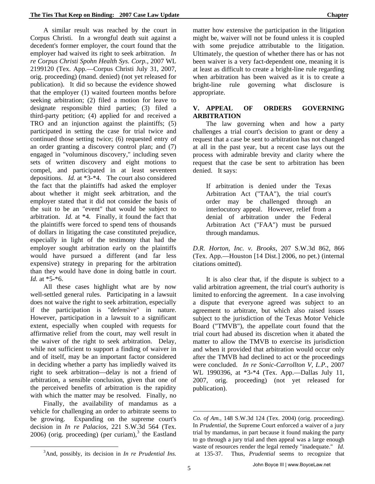A similar result was reached by the court in Corpus Christi. In a wrongful death suit against a decedent's former employer, the court found that the employer had waived its right to seek arbitration. *In re Corpus Christi Spohn Health Sys. Corp.*, 2007 WL 2199120 (Tex. App.—Corpus Christi July 31, 2007, orig. proceeding) (mand. denied) (not yet released for publication). It did so because the evidence showed that the employer (1) waited fourteen months before seeking arbitration; (2) filed a motion for leave to designate responsible third parties; (3) filed a third-party petition; (4) applied for and received a TRO and an injunction against the plaintiffs; (5) participated in setting the case for trial twice and continued those setting twice; (6) requested entry of an order granting a discovery control plan; and (7) engaged in "voluminous discovery," including seven sets of written discovery and eight motions to compel, and participated in at least seventeen depositions. *Id.* at \*3-\*4. The court also considered the fact that the plaintiffs had asked the employer about whether it might seek arbitration, and the employer stated that it did not consider the basis of the suit to be an "event" that would be subject to arbitration. *Id.* at \*4. Finally, it found the fact that the plaintiffs were forced to spend tens of thousands of dollars in litigating the case constituted prejudice, especially in light of the testimony that had the employer sought arbitration early on the plaintiffs would have pursued a different (and far less expensive) strategy in preparing for the arbitration than they would have done in doing battle in court. *Id.* at \*5-\*6.

All these cases highlight what are by now well-settled general rules. Participating in a lawsuit does not waive the right to seek arbitration, especially if the participation is "defensive" in nature. However, participation in a lawsuit to a significant extent, especially when coupled with requests for affirmative relief from the court, may well result in the waiver of the right to seek arbitration. Delay, while not sufficient to support a finding of waiver in and of itself, may be an important factor considered in deciding whether a party has impliedly waived its right to seek arbitration—delay is not a friend of arbitration, a sensible conclusion, given that one of the perceived benefits of arbitration is the rapidity with which the matter may be resolved. Finally, no

Finally, the availability of mandamus as a vehicle for challenging an order to arbitrate seems to be growing. Expanding on the supreme court's decision in *In re Palacios*, 221 S.W.3d 564 (Tex.  $2006$ ) (orig. proceeding) (per curiam), $3$  the Eastland

<span id="page-10-0"></span> $\overline{a}$ 

matter how extensive the participation in the litigation might be, waiver will not be found unless it is coupled with some prejudice attributable to the litigation. Ultimately, the question of whether there has or has not been waiver is a very fact-dependent one, meaning it is at least as difficult to create a bright-line rule regarding when arbitration has been waived as it is to create a bright-line rule governing what disclosure is appropriate.

#### **V. APPEAL OF ORDERS GOVERNING ARBITRATION**

The law governing when and how a party challenges a trial court's decision to grant or deny a request that a case be sent to arbitration has not changed at all in the past year, but a recent case lays out the process with admirable brevity and clarity where the request that the case be sent to arbitration has been denied. It says:

If arbitration is denied under the Texas Arbitration Act ("TAA"), the trial court's order may be challenged through an interlocutory appeal. However, relief from a denial of arbitration under the Federal Arbitration Act ("FAA") must be pursued through mandamus.

*D.R. Horton, Inc. v. Brooks*, 207 S.W.3d 862, 866 (Tex. App.—Houston [14 Dist.] 2006, no pet.) (internal citations omitted).

It is also clear that, if the dispute is subject to a valid arbitration agreement, the trial court's authority is limited to enforcing the agreement. In a case involving a dispute that everyone agreed was subject to an agreement to arbitrate, but which also raised issues subject to the jurisdiction of the Texas Motor Vehicle Board ("TMVB"), the appellate court found that the trial court had abused its discretion when it abated the matter to allow the TMVB to exercise its jurisdiction and when it provided that arbitration would occur only after the TMVB had declined to act or the proceedings were concluded. *In re Sonic-Carrollton V, L.P.*, 2007 WL 1990396, at \*3-\*4 (Tex. App.—Dallas July 11, 2007, orig. proceeding) (not yet released for publication).

 $\overline{a}$ 

*Co. of Am.*, 148 S.W.3d 124 (Tex. 2004) (orig. proceeding). In *Prudential*, the Supreme Court enforced a waiver of a jury trial by mandamus, in part because it found making the party to go through a jury trial and then appeal was a large enough waste of resources render the legal remedy "inadequate." *Id.* at 135-37. Thus, *Prudential* seems to recognize that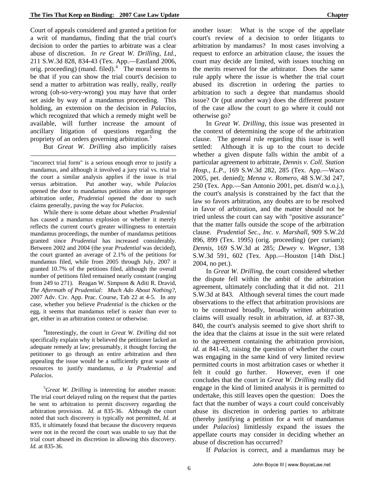Court of appeals considered and granted a petition for a writ of mandamus, finding that the trial court's decision to order the parties to arbitrate was a clear abuse of discretion. *In re Great W. Drilling, Ltd.*, 211 S.W.3d 828, 834-43 (Tex. App.—Eastland 2006, orig. proceeding) (mand. filed). $4$  The moral seems to be that if you can show the trial court's decision to send a matter to arbitration was really, really, *really*  wrong (oh-so-very-wrong) you may have that order set aside by way of a mandamus proceeding. This holding, an extension on the decision in *Palacios,*  which recognized that which a remedy might well be available, will further increase the amount of ancillary litigation of questions regarding the propriety of an orders governing arbitration.<sup>[5](#page-11-1)</sup>

But *Great W. Drilling* also implicitly raises

 $\overline{a}$ 

"incorrect trial form" is a serious enough error to justify a mandamus, and although it involved a jury trial vs. trial to the court a similar analysis applies if the issue is trial versus arbitration. Put another way, while *Palacios*  opened the door to mandamus petitions after an improper arbitration order, *Prudential* opened the door to such claims generally, paving the way for *Palacios*.

While there is some debate about whether *Prudential*  has caused a mandamus explosion or whether it merely reflects the current court's greater willingness to entertain mandamus proceedings, the number of mandamus petitions granted since *Prudential* has increased considerably. Between 2002 and 2004 (the year *Prudential* was decided), the court granted an average of 2.1% of the petitions for mandamus filed, while from 2005 through July, 2007 it granted 10.7% of the petitions filed, although the overall number of petitions filed remained nearly constant (ranging from 249 to 271). Reagan W. Simpson & Aditi R. Dravid, *The Aftermath of Prudential: Much Ado About Nothing?*, 2007 Adv. Civ. App. Prac. Course, Tab 22 at 4-5. In any case, whether you believe *Prudential* is the chicken or the egg, it seems that mandamus relief is easier than ever to get, either in an arbitration context or otherwise.

<span id="page-11-0"></span>4 Interestingly, the court in *Great W. Drilling* did not specifically explain why it believed the petitioner lacked an adequate remedy at law; presumably, it thought forcing the petitioner to go through an entire arbitration and then appealing the issue would be a sufficiently great waste of resources to justify mandamus, *a la Prudential* and *Palacios*.

<span id="page-11-1"></span><sup>5</sup>Great W. Drilling is interesting for another reason: The trial court delayed ruling on the request that the parties be sent to arbitration to permit discovery regarding the arbitration provision. *Id.* at 835-36. Although the court noted that such discovery is typically not permitted, *Id.* at 835, it ultimately found that because the discovery requests were not in the record the court was unable to say that the trial court abused its discretion in allowing this discovery. *Id.* at 835-36.

another issue: What is the scope of the appellate court's review of a decision to order litigants to arbitration by mandamus? In most cases involving a request to enforce an arbitration clause, the issues the court may decide are limited, with issues touching on the merits reserved for the arbitrator. Does the same rule apply where the issue is whether the trial court abused its discretion in ordering the parties to arbitration to such a degree that mandamus should issue? Or (put another way) does the different posture of the case allow the court to go where it could not otherwise go?

In *Great W. Drilling*, this issue was presented in the context of determining the scope of the arbitration clause. The general rule regarding this issue is well settled: Although it is up to the court to decide whether a given dispute falls within the ambit of a particular agreement to arbitrate, *Dennis v. Coll. Station Hosp., L.P.*, 169 S.W.3d 282, 285 (Tex. App.—Waco 2005, pet. denied); *Menna v. Romero*, 48 S.W.3d 247, 250 (Tex. App.—San Antonio 2001, pet. dism'd w.o.j.), the court's analysis is constrained by the fact that the law so favors arbitration, any doubts are to be resolved in favor of arbitration, and the matter should not be tried unless the court can say with "positive assurance" that the matter falls outside the scope of the arbitration clause. *Prudential Sec., Inc. v. Marshall*, 909 S.W.2d 896, 899 (Tex. 1995) (orig. proceeding) (per curiam); *Dennis*, 169 S.W.3d at 285; *Dewey v. Wegner*, 138 S.W.3d 591, 602 (Tex. App.—Houston [14th Dist.] 2004, no pet.).

In *Great W. Drilling*, the court considered whether the dispute fell within the ambit of the arbitration agreement, ultimately concluding that it did not. 211 S.W.3d at 843. Although several times the court made observations to the effect that arbitration provisions are to be construed broadly, broadly written arbitration claims will usually result in arbitration, *id.* at 837-38, 840, the court's analysis seemed to give short shrift to the idea that the claims at issue in the suit were related to the agreement containing the arbitration provision, *id.* at 841-43, raising the question of whether the court was engaging in the same kind of very limited review permitted courts in most arbitration cases or whether it felt it could go further. However, even if one concludes that the court in *Great W. Drilling* really did engage in the kind of limited analysis it is permitted to undertake, this still leaves open the question: Does the fact that the number of ways a court could conceivably abuse its discretion in ordering parties to arbitrate (thereby justifying a petition for a writ of mandamus under *Palacios*) limitlessly expand the issues the appellate courts may consider in deciding whether an abuse of discretion has occurred?

If *Palacios* is correct, and a mandamus may be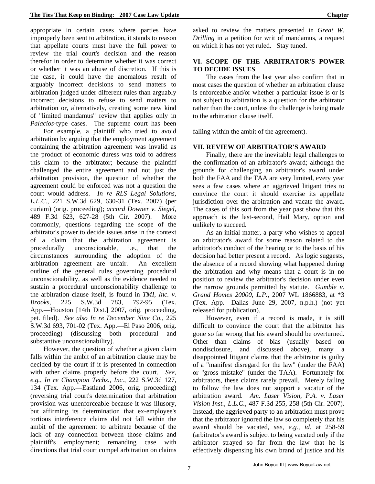appropriate in certain cases where parties have improperly been sent to arbitration, it stands to reason that appellate courts must have the full power to review the trial court's decision and the reason therefor in order to determine whether it was correct or whether it was an abuse of discretion. If this is the case, it could have the anomalous result of arguably incorrect decisions to send matters to arbitration judged under different rules than arguably incorrect decisions to refuse to send matters to arbitration or, alternatively, creating some new kind of "limited mandamus" review that applies only in *Palacios*-type cases. The supreme court has been

For example, a plaintiff who tried to avoid arbitration by arguing that the employment agreement containing the arbitration agreement was invalid as the product of economic duress was told to address this claim to the arbitrator; because the plaintiff challenged the entire agreement and not just the arbitration provision, the question of whether the agreement could be enforced was not a question the court would address. *In re RLS Legal Solutions, L.L.C.*, 221 S.W.3d 629, 630-31 (Tex. 2007) (per curiam) (orig. proceeding); *accord Downer v. Siegel*, 489 F.3d 623, 627-28 (5th Cir. 2007). More commonly, questions regarding the scope of the arbitrator's power to decide issues arise in the context of a claim that the arbitration agreement is procedurally unconscionable, i.e., that the circumstances surrounding the adoption of the arbitration agreement are unfair. An excellent outline of the general rules governing procedural unconscionability, as well as the evidence needed to sustain a procedural unconscionability challenge to the arbitration clause itself, is found in *TMI, Inc. v. Brooks*, 225 S.W.3d 783, 792-95 (Tex. App.—Houston [14th Dist.] 2007, orig. proceeding, pet. filed). *See also In re December Nine Co.*, 225 S.W.3d 693, 701-02 (Tex. App.—El Paso 2006, orig. proceeding) (discussing both procedural and substantive unconscionability).

However, the question of whether a given claim falls within the ambit of an arbitration clause may be decided by the court if it is presented in connection with other claims properly before the court. *See, e.g.*, *In re Champion Techs., Inc.*, 222 S.W.3d 127, 134 (Tex. App.—Eastland 2006, orig. proceeding) (reversing trial court's determination that arbitration provision was unenforceable because it was illusory, but affirming its determination that ex-employee's tortious interference claims did not fall within the ambit of the agreement to arbitrate because of the lack of any connection between those claims and plaintiff's employment; remanding case with directions that trial court compel arbitration on claims asked to review the matters presented in *Great W. Drilling* in a petition for writ of mandamus, a request on which it has not yet ruled. Stay tuned.

#### **VI. SCOPE OF THE ARBITRATOR'S POWER TO DECIDE ISSUES**

The cases from the last year also confirm that in most cases the question of whether an arbitration clause is enforceable and/or whether a particular issue is or is not subject to arbitration is a question for the arbitrator rather than the court, unless the challenge is being made to the arbitration clause itself.

falling within the ambit of the agreement).

#### **VII. REVIEW OF ARBITRATOR'S AWARD**

Finally, there are the inevitable legal challenges to the confirmation of an arbitrator's award; although the grounds for challenging an arbitrator's award under both the FAA and the TAA are very limited, every year sees a few cases where an aggrieved litigant tries to convince the court it should exercise its appellate jurisdiction over the arbitration and vacate the award. The cases of this sort from the year past show that this approach is the last-second, Hail Mary, option and unlikely to succeed.

As an initial matter, a party who wishes to appeal an arbitrator's award for some reason related to the arbitrator's conduct of the hearing or to the basis of his decision had better present a record. As logic suggests, the absence of a record showing what happened during the arbitration and why means that a court is in no position to review the arbitrator's decision under even the narrow grounds permitted by statute. *Gumble v. Grand Homes 20000, L.P.*, 2007 WL 1866883, at \*3 (Tex. App.—Dallas June 29, 2007, n.p.h.) (not yet released for publication).

However, even if a record is made, it is still difficult to convince the court that the arbitrator has gone so far wrong that his award should be overturned. Other than claims of bias (usually based on nondisclosure, and discussed above), many a disappointed litigant claims that the arbitrator is guilty of a "manifest disregard for the law" (under the FAA) or "gross mistake" (under the TAA). Fortunately for arbitrators, these claims rarely prevail. Merely failing to follow the law does not support a vacatur of the arbitration award. *Am. Laser Vision, P.A. v. Laser Vision Inst., L.L.C.*, 487 F.3d 255, 258 (5th Cir. 2007). Instead, the aggrieved party to an arbitration must prove that the arbitrator ignored the law so completely that his award should be vacated, *see, e.g.*, *id.* at 258-59 (arbitrator's award is subject to being vacated only if the arbitrator strayed so far from the law that he is effectively dispensing his own brand of justice and his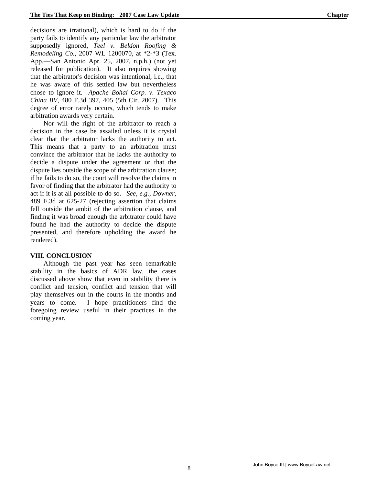decisions are irrational), which is hard to do if the party fails to identify any particular law the arbitrator supposedly ignored, *Teel v. Beldon Roofing & Remodeling Co.*, 2007 WL 1200070, at \*2-\*3 (Tex. App.—San Antonio Apr. 25, 2007, n.p.h.) (not yet released for publication). It also requires showing that the arbitrator's decision was intentional, i.e., that he was aware of this settled law but nevertheless chose to ignore it. *Apache Bohai Corp. v. Texaco China BV*, 480 F.3d 397, 405 (5th Cir. 2007). This degree of error rarely occurs, which tends to make arbitration awards very certain.

Nor will the right of the arbitrator to reach a decision in the case be assailed unless it is crystal clear that the arbitrator lacks the authority to act. This means that a party to an arbitration must convince the arbitrator that he lacks the authority to decide a dispute under the agreement or that the dispute lies outside the scope of the arbitration clause; if he fails to do so, the court will resolve the claims in favor of finding that the arbitrator had the authority to act if it is at all possible to do so. *See, e.g.*, *Downer*, 489 F.3d at 625-27 (rejecting assertion that claims fell outside the ambit of the arbitration clause, and finding it was broad enough the arbitrator could have found he had the authority to decide the dispute presented, and therefore upholding the award he rendered).

#### **VIII. CONCLUSION**

Although the past year has seen remarkable stability in the basics of ADR law, the cases discussed above show that even in stability there is conflict and tension, conflict and tension that will play themselves out in the courts in the months and years to come. I hope practitioners find the foregoing review useful in their practices in the coming year.